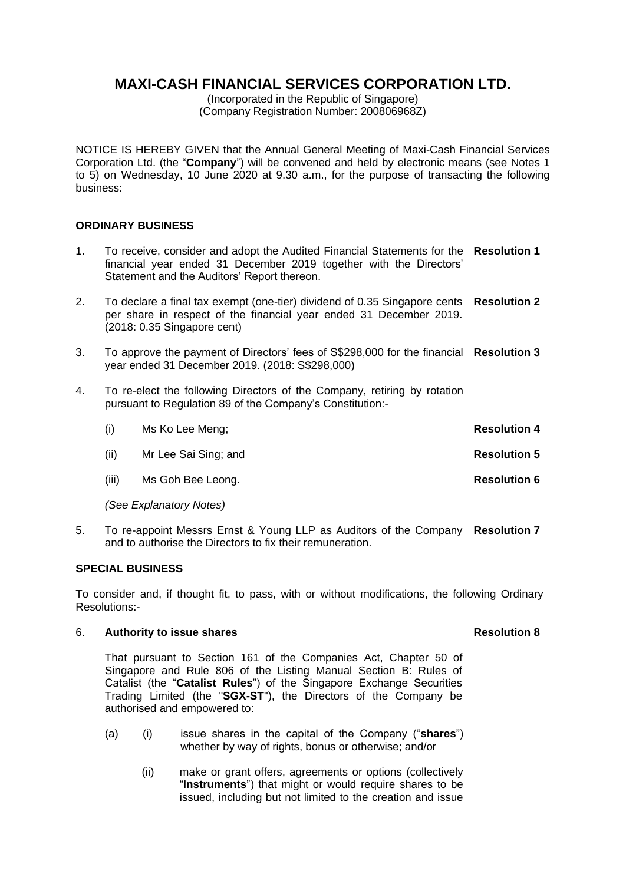(Incorporated in the Republic of Singapore) (Company Registration Number: 200806968Z)

NOTICE IS HEREBY GIVEN that the Annual General Meeting of Maxi-Cash Financial Services Corporation Ltd. (the "**Company**") will be convened and held by electronic means (see Notes 1 to 5) on Wednesday, 10 June 2020 at 9.30 a.m., for the purpose of transacting the following business:

## **ORDINARY BUSINESS**

- 1. To receive, consider and adopt the Audited Financial Statements for the **Resolution 1** financial year ended 31 December 2019 together with the Directors' Statement and the Auditors' Report thereon.
- 2. To declare a final tax exempt (one-tier) dividend of 0.35 Singapore cents **Resolution 2** per share in respect of the financial year ended 31 December 2019. (2018: 0.35 Singapore cent)
- 3. To approve the payment of Directors' fees of S\$298,000 for the financial **Resolution 3** year ended 31 December 2019. (2018: S\$298,000)
- 4. To re-elect the following Directors of the Company, retiring by rotation pursuant to Regulation 89 of the Company's Constitution:-

| (i)   | Ms Ko Lee Meng;         | <b>Resolution 4</b> |
|-------|-------------------------|---------------------|
| (ii)  | Mr Lee Sai Sing; and    | <b>Resolution 5</b> |
| (iii) | Ms Goh Bee Leong.       | <b>Resolution 6</b> |
|       | (See Explanatory Notes) |                     |

5. To re-appoint Messrs Ernst & Young LLP as Auditors of the Company **Resolution 7** and to authorise the Directors to fix their remuneration.

#### **SPECIAL BUSINESS**

To consider and, if thought fit, to pass, with or without modifications, the following Ordinary Resolutions:-

## 6. **Authority to issue shares**

#### **Resolution 8**

That pursuant to Section 161 of the Companies Act, Chapter 50 of Singapore and Rule 806 of the Listing Manual Section B: Rules of Catalist (the "**Catalist Rules**") of the Singapore Exchange Securities Trading Limited (the "**SGX-ST**"), the Directors of the Company be authorised and empowered to:

- (a) (i) issue shares in the capital of the Company ("**shares**") whether by way of rights, bonus or otherwise; and/or
	- (ii) make or grant offers, agreements or options (collectively "**Instruments**") that might or would require shares to be issued, including but not limited to the creation and issue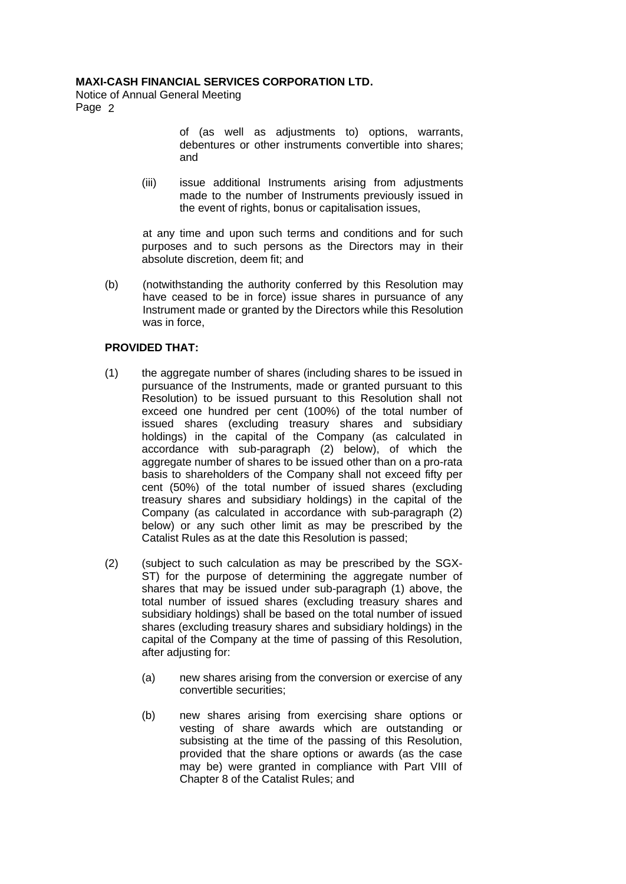Notice of Annual General Meeting Page 2

> of (as well as adjustments to) options, warrants, debentures or other instruments convertible into shares; and

(iii) issue additional Instruments arising from adjustments made to the number of Instruments previously issued in the event of rights, bonus or capitalisation issues.

at any time and upon such terms and conditions and for such purposes and to such persons as the Directors may in their absolute discretion, deem fit; and

(b) (notwithstanding the authority conferred by this Resolution may have ceased to be in force) issue shares in pursuance of any Instrument made or granted by the Directors while this Resolution was in force,

## **PROVIDED THAT:**

- (1) the aggregate number of shares (including shares to be issued in pursuance of the Instruments, made or granted pursuant to this Resolution) to be issued pursuant to this Resolution shall not exceed one hundred per cent (100%) of the total number of issued shares (excluding treasury shares and subsidiary holdings) in the capital of the Company (as calculated in accordance with sub-paragraph (2) below), of which the aggregate number of shares to be issued other than on a pro-rata basis to shareholders of the Company shall not exceed fifty per cent (50%) of the total number of issued shares (excluding treasury shares and subsidiary holdings) in the capital of the Company (as calculated in accordance with sub-paragraph (2) below) or any such other limit as may be prescribed by the Catalist Rules as at the date this Resolution is passed;
- (2) (subject to such calculation as may be prescribed by the SGX-ST) for the purpose of determining the aggregate number of shares that may be issued under sub-paragraph (1) above, the total number of issued shares (excluding treasury shares and subsidiary holdings) shall be based on the total number of issued shares (excluding treasury shares and subsidiary holdings) in the capital of the Company at the time of passing of this Resolution, after adjusting for:
	- (a) new shares arising from the conversion or exercise of any convertible securities;
	- (b) new shares arising from exercising share options or vesting of share awards which are outstanding or subsisting at the time of the passing of this Resolution, provided that the share options or awards (as the case may be) were granted in compliance with Part VIII of Chapter 8 of the Catalist Rules; and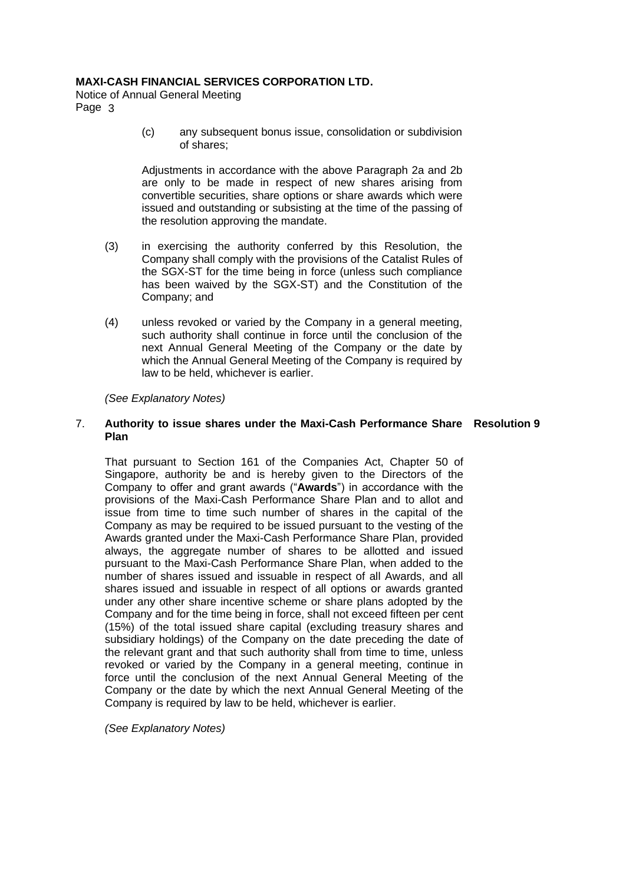Notice of Annual General Meeting Page 3

> (c) any subsequent bonus issue, consolidation or subdivision of shares;

> Adjustments in accordance with the above Paragraph 2a and 2b are only to be made in respect of new shares arising from convertible securities, share options or share awards which were issued and outstanding or subsisting at the time of the passing of the resolution approving the mandate.

- (3) in exercising the authority conferred by this Resolution, the Company shall comply with the provisions of the Catalist Rules of the SGX-ST for the time being in force (unless such compliance has been waived by the SGX-ST) and the Constitution of the Company; and
- (4) unless revoked or varied by the Company in a general meeting, such authority shall continue in force until the conclusion of the next Annual General Meeting of the Company or the date by which the Annual General Meeting of the Company is required by law to be held, whichever is earlier.

*(See Explanatory Notes)*

#### 7. **Authority to issue shares under the Maxi-Cash Performance Share Resolution 9Plan**

That pursuant to Section 161 of the Companies Act, Chapter 50 of Singapore, authority be and is hereby given to the Directors of the Company to offer and grant awards ("**Awards**") in accordance with the provisions of the Maxi-Cash Performance Share Plan and to allot and issue from time to time such number of shares in the capital of the Company as may be required to be issued pursuant to the vesting of the Awards granted under the Maxi-Cash Performance Share Plan, provided always, the aggregate number of shares to be allotted and issued pursuant to the Maxi-Cash Performance Share Plan, when added to the number of shares issued and issuable in respect of all Awards, and all shares issued and issuable in respect of all options or awards granted under any other share incentive scheme or share plans adopted by the Company and for the time being in force, shall not exceed fifteen per cent (15%) of the total issued share capital (excluding treasury shares and subsidiary holdings) of the Company on the date preceding the date of the relevant grant and that such authority shall from time to time, unless revoked or varied by the Company in a general meeting, continue in force until the conclusion of the next Annual General Meeting of the Company or the date by which the next Annual General Meeting of the Company is required by law to be held, whichever is earlier.

*(See Explanatory Notes)*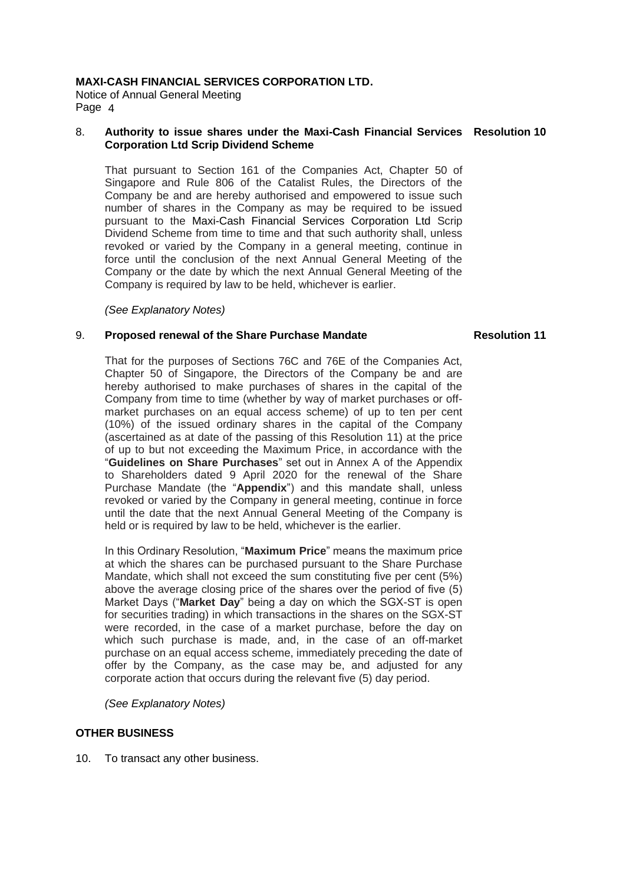Notice of Annual General Meeting Page 4

#### 8. **Authority to issue shares under the Maxi-Cash Financial Services Resolution 10 Corporation Ltd Scrip Dividend Scheme**

That pursuant to Section 161 of the Companies Act, Chapter 50 of Singapore and Rule 806 of the Catalist Rules, the Directors of the Company be and are hereby authorised and empowered to issue such number of shares in the Company as may be required to be issued pursuant to the Maxi-Cash Financial Services Corporation Ltd Scrip Dividend Scheme from time to time and that such authority shall, unless revoked or varied by the Company in a general meeting, continue in force until the conclusion of the next Annual General Meeting of the Company or the date by which the next Annual General Meeting of the Company is required by law to be held, whichever is earlier.

*(See Explanatory Notes)*

#### 9. **Proposed renewal of the Share Purchase Mandate**

**Resolution 11** 

That for the purposes of Sections 76C and 76E of the Companies Act, Chapter 50 of Singapore, the Directors of the Company be and are hereby authorised to make purchases of shares in the capital of the Company from time to time (whether by way of market purchases or offmarket purchases on an equal access scheme) of up to ten per cent (10%) of the issued ordinary shares in the capital of the Company (ascertained as at date of the passing of this Resolution 11) at the price of up to but not exceeding the Maximum Price, in accordance with the "**Guidelines on Share Purchases**" set out in Annex A of the Appendix to Shareholders dated 9 April 2020 for the renewal of the Share Purchase Mandate (the "**Appendix**") and this mandate shall, unless revoked or varied by the Company in general meeting, continue in force until the date that the next Annual General Meeting of the Company is held or is required by law to be held, whichever is the earlier.

In this Ordinary Resolution, "**Maximum Price**" means the maximum price at which the shares can be purchased pursuant to the Share Purchase Mandate, which shall not exceed the sum constituting five per cent (5%) above the average closing price of the shares over the period of five (5) Market Days ("**Market Day**" being a day on which the SGX-ST is open for securities trading) in which transactions in the shares on the SGX-ST were recorded, in the case of a market purchase, before the day on which such purchase is made, and, in the case of an off-market purchase on an equal access scheme, immediately preceding the date of offer by the Company, as the case may be, and adjusted for any corporate action that occurs during the relevant five (5) day period.

*(See Explanatory Notes)*

#### **OTHER BUSINESS**

10. To transact any other business.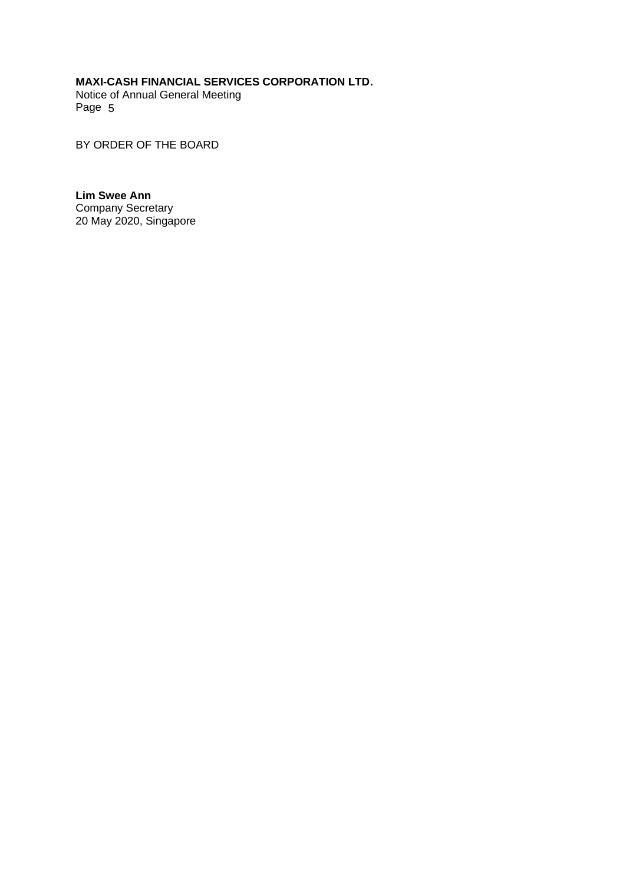Notice of Annual General Meeting Page 5

BY ORDER OF THE BOARD

**Lim Swee Ann** Company Secretary 20 May 2020, Singapore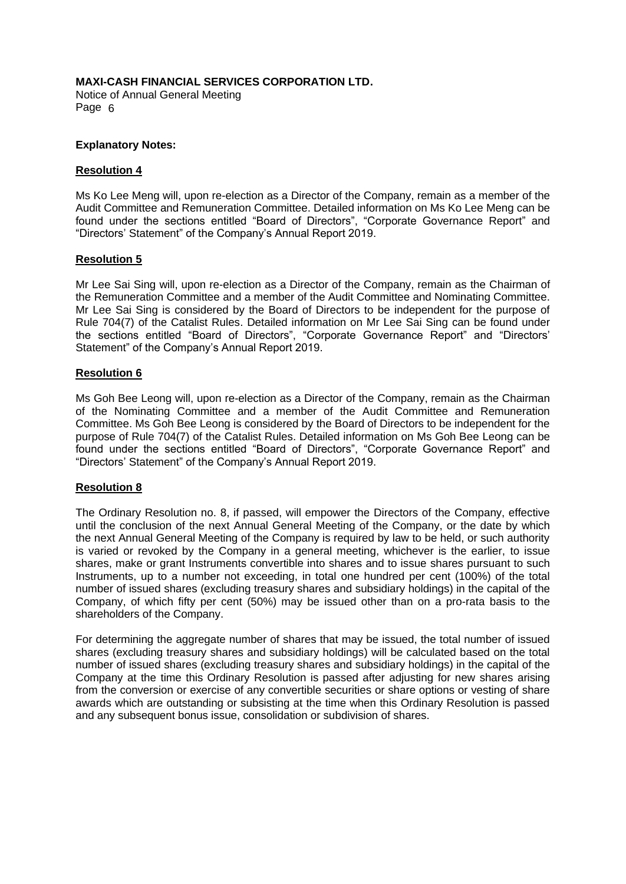Notice of Annual General Meeting Page 6

#### **Explanatory Notes:**

#### **Resolution 4**

Ms Ko Lee Meng will, upon re-election as a Director of the Company, remain as a member of the Audit Committee and Remuneration Committee. Detailed information on Ms Ko Lee Meng can be found under the sections entitled "Board of Directors", "Corporate Governance Report" and "Directors' Statement" of the Company's Annual Report 2019.

#### **Resolution 5**

Mr Lee Sai Sing will, upon re-election as a Director of the Company, remain as the Chairman of the Remuneration Committee and a member of the Audit Committee and Nominating Committee. Mr Lee Sai Sing is considered by the Board of Directors to be independent for the purpose of Rule 704(7) of the Catalist Rules. Detailed information on Mr Lee Sai Sing can be found under the sections entitled "Board of Directors", "Corporate Governance Report" and "Directors' Statement" of the Company's Annual Report 2019.

#### **Resolution 6**

Ms Goh Bee Leong will, upon re-election as a Director of the Company, remain as the Chairman of the Nominating Committee and a member of the Audit Committee and Remuneration Committee. Ms Goh Bee Leong is considered by the Board of Directors to be independent for the purpose of Rule 704(7) of the Catalist Rules. Detailed information on Ms Goh Bee Leong can be found under the sections entitled "Board of Directors", "Corporate Governance Report" and "Directors' Statement" of the Company's Annual Report 2019.

#### **Resolution 8**

The Ordinary Resolution no. 8, if passed, will empower the Directors of the Company, effective until the conclusion of the next Annual General Meeting of the Company, or the date by which the next Annual General Meeting of the Company is required by law to be held, or such authority is varied or revoked by the Company in a general meeting, whichever is the earlier, to issue shares, make or grant Instruments convertible into shares and to issue shares pursuant to such Instruments, up to a number not exceeding, in total one hundred per cent (100%) of the total number of issued shares (excluding treasury shares and subsidiary holdings) in the capital of the Company, of which fifty per cent (50%) may be issued other than on a pro-rata basis to the shareholders of the Company.

For determining the aggregate number of shares that may be issued, the total number of issued shares (excluding treasury shares and subsidiary holdings) will be calculated based on the total number of issued shares (excluding treasury shares and subsidiary holdings) in the capital of the Company at the time this Ordinary Resolution is passed after adjusting for new shares arising from the conversion or exercise of any convertible securities or share options or vesting of share awards which are outstanding or subsisting at the time when this Ordinary Resolution is passed and any subsequent bonus issue, consolidation or subdivision of shares.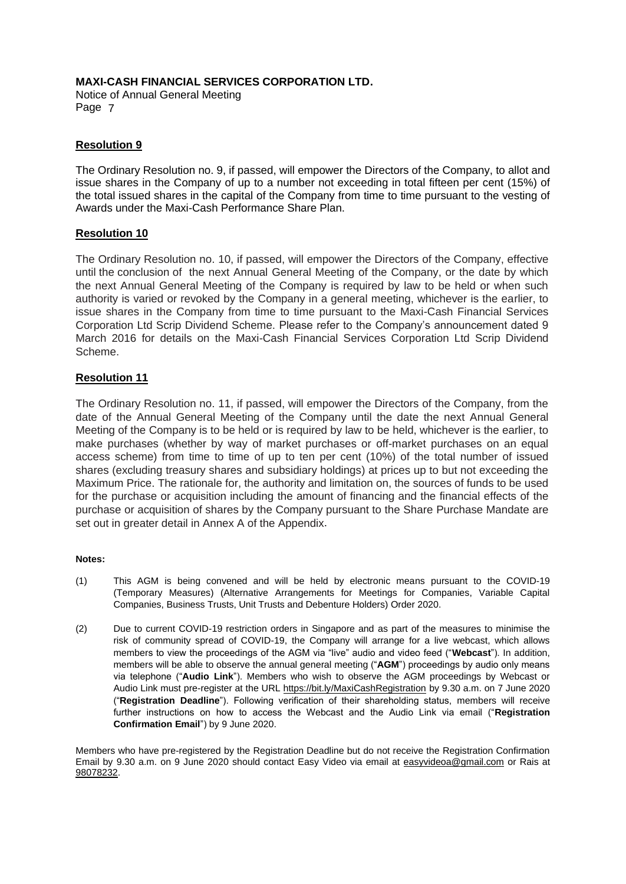Notice of Annual General Meeting Page 7

## **Resolution 9**

The Ordinary Resolution no. 9, if passed, will empower the Directors of the Company, to allot and issue shares in the Company of up to a number not exceeding in total fifteen per cent (15%) of the total issued shares in the capital of the Company from time to time pursuant to the vesting of Awards under the Maxi-Cash Performance Share Plan.

#### **Resolution 10**

The Ordinary Resolution no. 10, if passed, will empower the Directors of the Company, effective until the conclusion of the next Annual General Meeting of the Company, or the date by which the next Annual General Meeting of the Company is required by law to be held or when such authority is varied or revoked by the Company in a general meeting, whichever is the earlier, to issue shares in the Company from time to time pursuant to the Maxi-Cash Financial Services Corporation Ltd Scrip Dividend Scheme. Please refer to the Company's announcement dated 9 March 2016 for details on the Maxi-Cash Financial Services Corporation Ltd Scrip Dividend Scheme.

## **Resolution 11**

The Ordinary Resolution no. 11, if passed, will empower the Directors of the Company, from the date of the Annual General Meeting of the Company until the date the next Annual General Meeting of the Company is to be held or is required by law to be held, whichever is the earlier, to make purchases (whether by way of market purchases or off-market purchases on an equal access scheme) from time to time of up to ten per cent (10%) of the total number of issued shares (excluding treasury shares and subsidiary holdings) at prices up to but not exceeding the Maximum Price. The rationale for, the authority and limitation on, the sources of funds to be used for the purchase or acquisition including the amount of financing and the financial effects of the purchase or acquisition of shares by the Company pursuant to the Share Purchase Mandate are set out in greater detail in Annex A of the Appendix.

#### **Notes:**

- (1) This AGM is being convened and will be held by electronic means pursuant to the COVID-19 (Temporary Measures) (Alternative Arrangements for Meetings for Companies, Variable Capital Companies, Business Trusts, Unit Trusts and Debenture Holders) Order 2020.
- (2) Due to current COVID-19 restriction orders in Singapore and as part of the measures to minimise the risk of community spread of COVID-19, the Company will arrange for a live webcast, which allows members to view the proceedings of the AGM via "live" audio and video feed ("**Webcast**"). In addition, members will be able to observe the annual general meeting ("**AGM**") proceedings by audio only means via telephone ("**Audio Link**"). Members who wish to observe the AGM proceedings by Webcast or Audio Link must pre-register at the URL<https://bit.ly/MaxiCashRegistration> by 9.30 a.m. on 7 June 2020 ("**Registration Deadline**"). Following verification of their shareholding status, members will receive further instructions on how to access the Webcast and the Audio Link via email ("**Registration Confirmation Email**") by 9 June 2020.

Members who have pre-registered by the Registration Deadline but do not receive the Registration Confirmation Email by 9.30 a.m. on 9 June 2020 should contact Easy Video via email at easyvideoa@gmail.com or Rais at 98078232.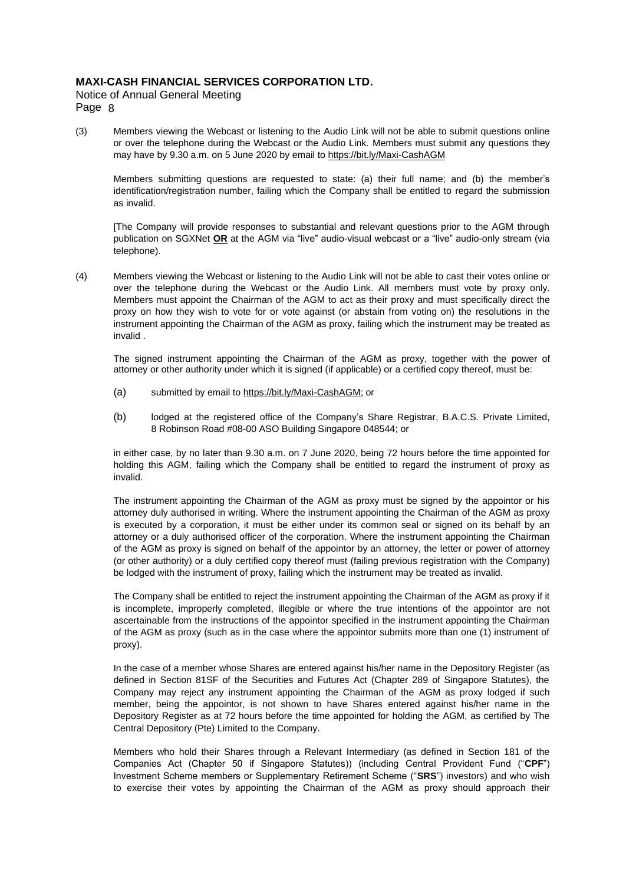Notice of Annual General Meeting Page 8

(3) Members viewing the Webcast or listening to the Audio Link will not be able to submit questions online or over the telephone during the Webcast or the Audio Link. Members must submit any questions they may have by 9.30 a.m. on 5 June 2020 by email to https://bit.ly/Maxi-CashAGM

Members submitting questions are requested to state: (a) their full name; and (b) the member's identification/registration number, failing which the Company shall be entitled to regard the submission as invalid.

[The Company will provide responses to substantial and relevant questions prior to the AGM through publication on SGXNet **OR** at the AGM via "live" audio-visual webcast or a "live" audio-only stream (via telephone).

(4) Members viewing the Webcast or listening to the Audio Link will not be able to cast their votes online or over the telephone during the Webcast or the Audio Link. All members must vote by proxy only. Members must appoint the Chairman of the AGM to act as their proxy and must specifically direct the proxy on how they wish to vote for or vote against (or abstain from voting on) the resolutions in the instrument appointing the Chairman of the AGM as proxy, failing which the instrument may be treated as invalid .

The signed instrument appointing the Chairman of the AGM as proxy, together with the power of attorney or other authority under which it is signed (if applicable) or a certified copy thereof, must be:

- (a) submitted by email to https://bit.ly/Maxi-CashAGM; or
- (b) lodged at the registered office of the Company's Share Registrar, B.A.C.S. Private Limited, 8 Robinson Road #08-00 ASO Building Singapore 048544; or

in either case, by no later than 9.30 a.m. on 7 June 2020, being 72 hours before the time appointed for holding this AGM, failing which the Company shall be entitled to regard the instrument of proxy as invalid.

The instrument appointing the Chairman of the AGM as proxy must be signed by the appointor or his attorney duly authorised in writing. Where the instrument appointing the Chairman of the AGM as proxy is executed by a corporation, it must be either under its common seal or signed on its behalf by an attorney or a duly authorised officer of the corporation. Where the instrument appointing the Chairman of the AGM as proxy is signed on behalf of the appointor by an attorney, the letter or power of attorney (or other authority) or a duly certified copy thereof must (failing previous registration with the Company) be lodged with the instrument of proxy, failing which the instrument may be treated as invalid.

The Company shall be entitled to reject the instrument appointing the Chairman of the AGM as proxy if it is incomplete, improperly completed, illegible or where the true intentions of the appointor are not ascertainable from the instructions of the appointor specified in the instrument appointing the Chairman of the AGM as proxy (such as in the case where the appointor submits more than one (1) instrument of proxy).

In the case of a member whose Shares are entered against his/her name in the Depository Register (as defined in Section 81SF of the Securities and Futures Act (Chapter 289 of Singapore Statutes), the Company may reject any instrument appointing the Chairman of the AGM as proxy lodged if such member, being the appointor, is not shown to have Shares entered against his/her name in the Depository Register as at 72 hours before the time appointed for holding the AGM, as certified by The Central Depository (Pte) Limited to the Company.

Members who hold their Shares through a Relevant Intermediary (as defined in Section 181 of the Companies Act (Chapter 50 if Singapore Statutes)) (including Central Provident Fund ("**CPF**") Investment Scheme members or Supplementary Retirement Scheme ("**SRS**") investors) and who wish to exercise their votes by appointing the Chairman of the AGM as proxy should approach their